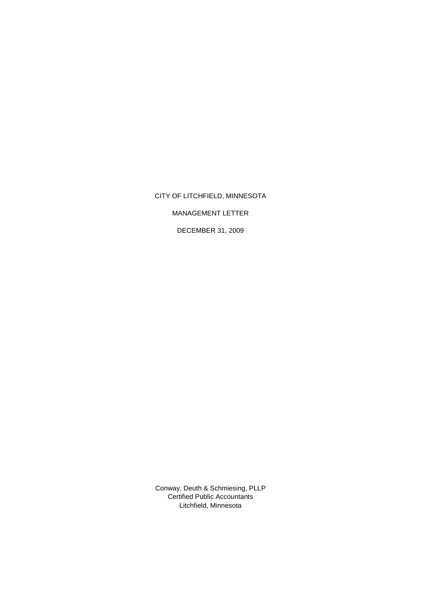CITY OF LITCHFIELD, MINNESOTA

MANAGEMENT LETTER

DECEMBER 31, 2009

Certified Public Accountants Litchfield, Minnesota Conway, Deuth & Schmiesing, PLLP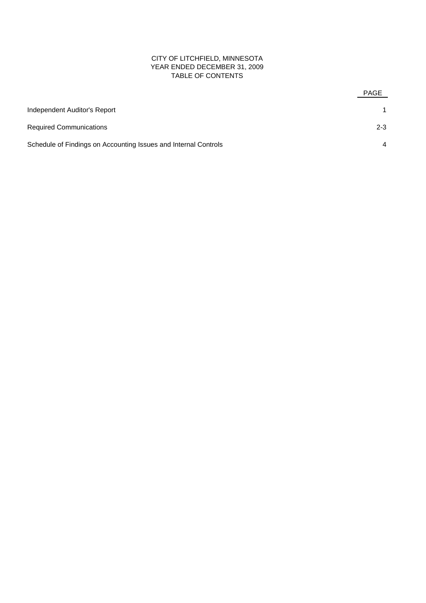# CITY OF LITCHFIELD, MINNESOTA YEAR ENDED DECEMBER 31, 2009 TABLE OF CONTENTS

|                                                                 | <b>PAGE</b>    |
|-----------------------------------------------------------------|----------------|
| Independent Auditor's Report                                    |                |
| <b>Required Communications</b>                                  | $2 - 3$        |
| Schedule of Findings on Accounting Issues and Internal Controls | $\overline{4}$ |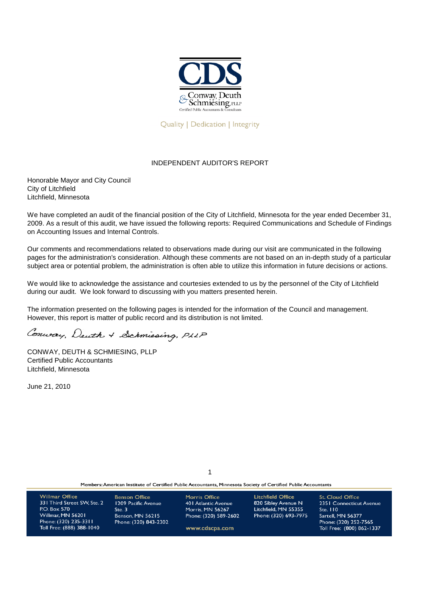

## **Quality | Dedication | Integrity**

# INDEPENDENT AUDITOR'S REPORT

Honorable Mayor and City Council City of Litchfield Litchfield, Minnesota

We have completed an audit of the financial position of the City of Litchfield, Minnesota for the year ended December 31, 2009. As a result of this audit, we have issued the following reports: Required Communications and Schedule of Findings on Accounting Issues and Internal Controls.

Our comments and recommendations related to observations made during our visit are communicated in the following pages for the administration's consideration. Although these comments are not based on an in-depth study of a particular subject area or potential problem, the administration is often able to utilize this information in future decisions or actions.

We would like to acknowledge the assistance and courtesies extended to us by the personnel of the City of Litchfield during our audit. We look forward to discussing with you matters presented herein.

The information presented on the following pages is intended for the information of the Council and management. However, this report is matter of public record and its distribution is not limited.

Conway, Deuth + Schmiesing, PLLP

CONWAY, DEUTH & SCHMIESING, PLLP Certified Public Accountants Litchfield, Minnesota

June 21, 2010

1

Members: American Institute of Certified Public Accountants, Minnesota Society of Certified Public Accountants

| <b>Willmar Office</b>                              | <b>Benson Office</b>  | <b>Morris Office</b>    | Litchfield Office     | <b>St. Cloud Office</b>                            |
|----------------------------------------------------|-----------------------|-------------------------|-----------------------|----------------------------------------------------|
| 331 Third Street SW, Ste. 2                        | 1209 Pacific Avenue   | 40   Atlantic Avenue    | 820 Sibley Avenue N   | 2351 Connecticut Avenue                            |
| P.O. Box 570                                       | Step 3                | <b>Morris, MN 56267</b> | Litchfield, MN 55355  | Ste. $110$                                         |
| Willmar, MN 56201                                  | Benson, MN 56215      | Phone: (320) 589-2602   | Phone: (320) 693-7975 | Sartell, MN 56377                                  |
| Phone: (320) 235-3311<br>Toll Free: (888) 388-1040 | Phone: (320) 843-2302 | www.cdscpa.com          |                       | Phone: (320) 252-7565<br>Toll Free: (800) 862-1337 |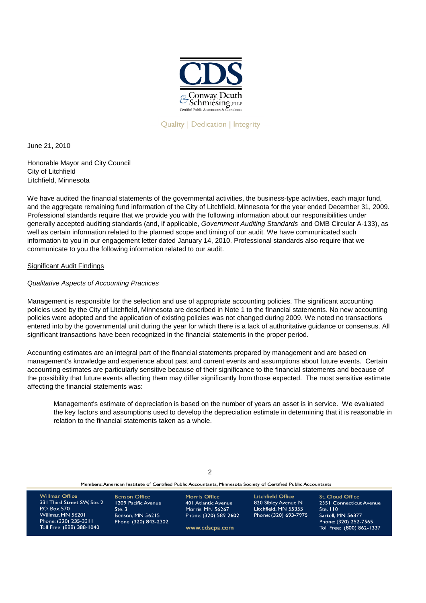

Quality | Dedication | Integrity

June 21, 2010

Honorable Mayor and City Council City of Litchfield Litchfield, Minnesota

We have audited the financial statements of the governmental activities, the business-type activities, each major fund, and the aggregate remaining fund information of the City of Litchfield, Minnesota for the year ended December 31, 2009. Professional standards require that we provide you with the following information about our responsibilities under generally accepted auditing standards (and, if applicable, *Government Auditing Standards* and OMB Circular A-133), as well as certain information related to the planned scope and timing of our audit. We have communicated such information to you in our engagement letter dated January 14, 2010. Professional standards also require that we communicate to you the following information related to our audit.

Significant Audit Findings

# *Qualitative Aspects of Accounting Practices*

Management is responsible for the selection and use of appropriate accounting policies. The significant accounting policies used by the City of Litchfield, Minnesota are described in Note 1 to the financial statements. No new accounting policies were adopted and the application of existing policies was not changed during 2009. We noted no transactions entered into by the governmental unit during the year for which there is a lack of authoritative guidance or consensus. All significant transactions have been recognized in the financial statements in the proper period.

Accounting estimates are an integral part of the financial statements prepared by management and are based on management's knowledge and experience about past and current events and assumptions about future events. Certain accounting estimates are particularly sensitive because of their significance to the financial statements and because of the possibility that future events affecting them may differ significantly from those expected. The most sensitive estimate affecting the financial statements was:

Management's estimate of depreciation is based on the number of years an asset is in service. We evaluated the key factors and assumptions used to develop the depreciation estimate in determining that it is reasonable in relation to the financial statements taken as a whole.

| Members: American Institute of Certified Public Accountants, Minnesota Society of Certified Public Accountants                                  |                                                                                                          |                                                                                                             |                                                                                           |                                                                                                                                           |  |  |
|-------------------------------------------------------------------------------------------------------------------------------------------------|----------------------------------------------------------------------------------------------------------|-------------------------------------------------------------------------------------------------------------|-------------------------------------------------------------------------------------------|-------------------------------------------------------------------------------------------------------------------------------------------|--|--|
| <b>Willmar Office</b><br>331 Third Street SW, Ste. 2<br>P.O. Box 570<br>Willmar, MN 56201<br>Phone: (320) 235-3311<br>Toll Free: (888) 388-1040 | <b>Benson Office</b><br>1209 Pacific Avenue<br>Ste.3<br><b>Benson, MN 56215</b><br>Phone: (320) 843-2302 | <b>Morris Office</b><br>40   Atlantic Avenue<br>Morris, MN 56267<br>Phone: (320) 589-2602<br>www.cdscpa.com | Litchfield Office<br>820 Sibley Avenue N<br>Litchfield, MN 55355<br>Phone: (320) 693-7975 | <b>St. Cloud Office</b><br>2351 Connecticut Avenue<br>Ste. 110<br>Sartell, MN 56377<br>Phone: (320) 252-7565<br>Toll Free: (800) 862-1337 |  |  |

 $\mathcal{L}$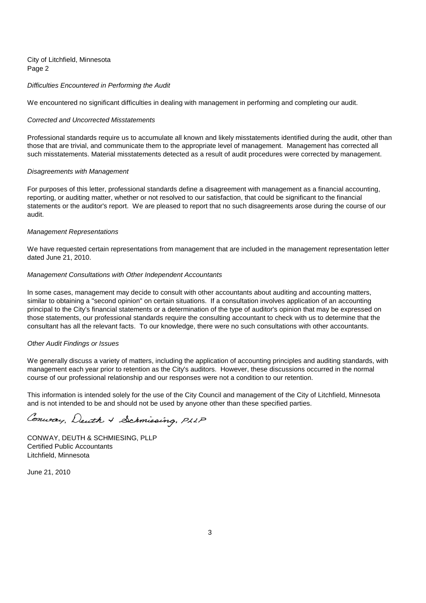City of Litchfield, Minnesota Page 2

### *Difficulties Encountered in Performing the Audit*

We encountered no significant difficulties in dealing with management in performing and completing our audit.

#### *Corrected and Uncorrected Misstatements*

Professional standards require us to accumulate all known and likely misstatements identified during the audit, other than those that are trivial, and communicate them to the appropriate level of management. Management has corrected all such misstatements. Material misstatements detected as a result of audit procedures were corrected by management.

### *Disagreements with Management*

For purposes of this letter, professional standards define a disagreement with management as a financial accounting, reporting, or auditing matter, whether or not resolved to our satisfaction, that could be significant to the financial statements or the auditor's report. We are pleased to report that no such disagreements arose during the course of our audit.

#### *Management Representations*

We have requested certain representations from management that are included in the management representation letter dated June 21, 2010.

### *Management Consultations with Other Independent Accountants*

In some cases, management may decide to consult with other accountants about auditing and accounting matters, similar to obtaining a "second opinion" on certain situations. If a consultation involves application of an accounting principal to the City's financial statements or a determination of the type of auditor's opinion that may be expressed on those statements, our professional standards require the consulting accountant to check with us to determine that the consultant has all the relevant facts. To our knowledge, there were no such consultations with other accountants.

#### *Other Audit Findings or Issues*

We generally discuss a variety of matters, including the application of accounting principles and auditing standards, with management each year prior to retention as the City's auditors. However, these discussions occurred in the normal course of our professional relationship and our responses were not a condition to our retention.

This information is intended solely for the use of the City Council and management of the City of Litchfield, Minnesota and is not intended to be and should not be used by anyone other than these specified parties.

Conway, Deuth + Schmiesing, PLLP

CONWAY, DEUTH & SCHMIESING, PLLP Certified Public Accountants Litchfield, Minnesota

June 21, 2010